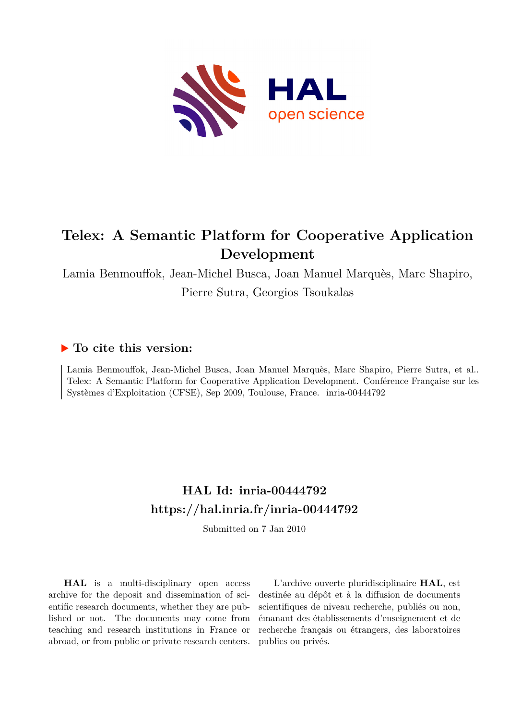

# **Telex: A Semantic Platform for Cooperative Application Development**

Lamia Benmouffok, Jean-Michel Busca, Joan Manuel Marquès, Marc Shapiro,

Pierre Sutra, Georgios Tsoukalas

# **To cite this version:**

Lamia Benmouffok, Jean-Michel Busca, Joan Manuel Marquès, Marc Shapiro, Pierre Sutra, et al.. Telex: A Semantic Platform for Cooperative Application Development. Conférence Française sur les Systèmes d'Exploitation (CFSE), Sep 2009, Toulouse, France. inria-00444792

# **HAL Id: inria-00444792 <https://hal.inria.fr/inria-00444792>**

Submitted on 7 Jan 2010

**HAL** is a multi-disciplinary open access archive for the deposit and dissemination of scientific research documents, whether they are published or not. The documents may come from teaching and research institutions in France or abroad, or from public or private research centers.

L'archive ouverte pluridisciplinaire **HAL**, est destinée au dépôt et à la diffusion de documents scientifiques de niveau recherche, publiés ou non, émanant des établissements d'enseignement et de recherche français ou étrangers, des laboratoires publics ou privés.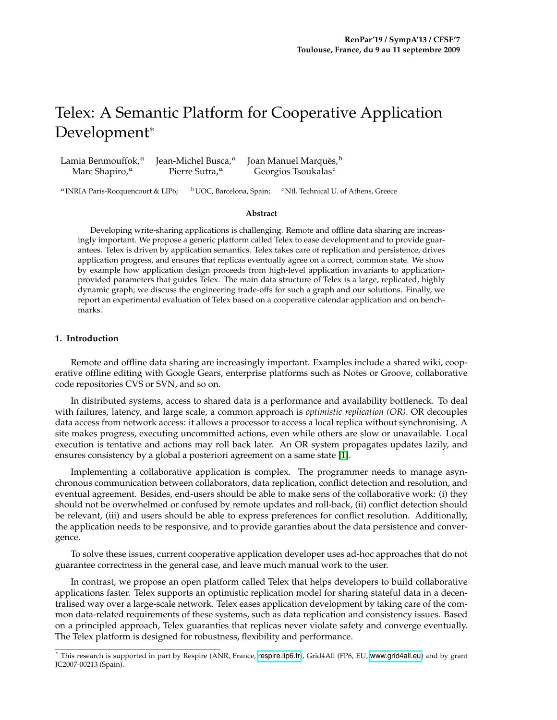# Telex: A Semantic Platform for Cooperative Application Development<sup>∗</sup>

| Lamia Benmouffok, <sup>a</sup> | Jean-Michel Busca, <sup>a</sup> | Joan Manuel Marquès, <sup>b</sup> |
|--------------------------------|---------------------------------|-----------------------------------|
| Marc Shapiro, <sup>a</sup>     | Pierre Sutra, <sup>a</sup>      | Georgios Tsoukalas <sup>c</sup>   |

<sup>a</sup> INRIA Paris-Rocquencourt & LIP6; bUOC, Barcelona, Spain; <sup>c</sup>Ntl. Technical U. of Athens, Greece

#### **Abstract**

Developing write-sharing applications is challenging. Remote and offline data sharing are increasingly important. We propose a generic platform called Telex to ease development and to provide guarantees. Telex is driven by application semantics. Telex takes care of replication and persistence, drives application progress, and ensures that replicas eventually agree on a correct, common state. We show by example how application design proceeds from high-level application invariants to applicationprovided parameters that guides Telex. The main data structure of Telex is a large, replicated, highly dynamic graph; we discuss the engineering trade-offs for such a graph and our solutions. Finally, we report an experimental evaluation of Telex based on a cooperative calendar application and on benchmarks.

### **1. Introduction**

Remote and offline data sharing are increasingly important. Examples include a shared wiki, cooperative offline editing with Google Gears, enterprise platforms such as Notes or Groove, collaborative code repositories CVS or SVN, and so on.

In distributed systems, access to shared data is a performance and availability bottleneck. To deal with failures, latency, and large scale, a common approach is *optimistic replication (OR)*. OR decouples data access from network access: it allows a processor to access a local replica without synchronising. A site makes progress, executing uncommitted actions, even while others are slow or unavailable. Local execution is tentative and actions may roll back later. An OR system propagates updates lazily, and ensures consistency by a global a posteriori agreement on a same state [\[1\]](#page-10-0).

Implementing a collaborative application is complex. The programmer needs to manage asynchronous communication between collaborators, data replication, conflict detection and resolution, and eventual agreement. Besides, end-users should be able to make sens of the collaborative work: (i) they should not be overwhelmed or confused by remote updates and roll-back, (ii) conflict detection should be relevant, (iii) and users should be able to express preferences for conflict resolution. Additionally, the application needs to be responsive, and to provide garanties about the data persistence and convergence.

To solve these issues, current cooperative application developer uses ad-hoc approaches that do not guarantee correctness in the general case, and leave much manual work to the user.

In contrast, we propose an open platform called Telex that helps developers to build collaborative applications faster. Telex supports an optimistic replication model for sharing stateful data in a decentralised way over a large-scale network. Telex eases application development by taking care of the common data-related requirements of these systems, such as data replication and consistency issues. Based on a principled approach, Telex guaranties that replicas never violate safety and converge eventually. The Telex platform is designed for robustness, flexibility and performance.

<sup>∗</sup> This research is supported in part by Respire (ANR, France, <respire.lip6.fr>), Grid4All (FP6, EU, <www.grid4all.eu>) and by grant JC2007-00213 (Spain).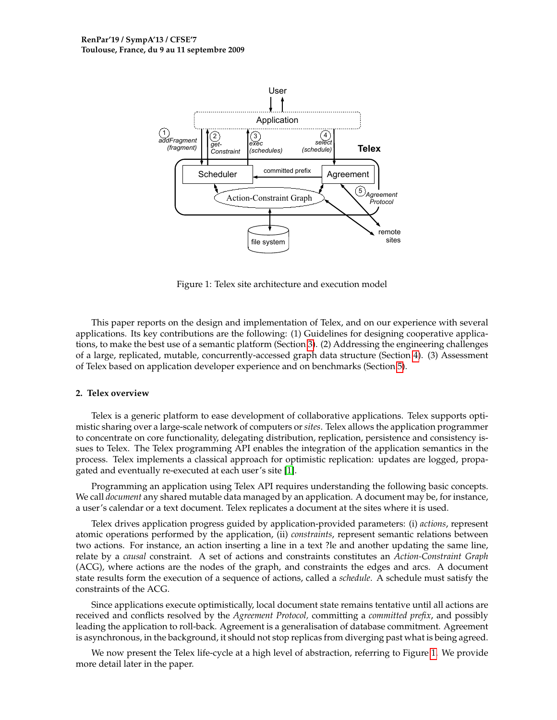

<span id="page-2-0"></span>Figure 1: Telex site architecture and execution model

This paper reports on the design and implementation of Telex, and on our experience with several applications. Its key contributions are the following: (1) Guidelines for designing cooperative applications, to make the best use of a semantic platform (Section [3\)](#page-3-0). (2) Addressing the engineering challenges of a large, replicated, mutable, concurrently-accessed graph data structure (Section [4\)](#page-5-0). (3) Assessment of Telex based on application developer experience and on benchmarks (Section [5\)](#page-7-0).

#### **2. Telex overview**

Telex is a generic platform to ease development of collaborative applications. Telex supports optimistic sharing over a large-scale network of computers or *sites*. Telex allows the application programmer to concentrate on core functionality, delegating distribution, replication, persistence and consistency issues to Telex. The Telex programming API enables the integration of the application semantics in the process. Telex implements a classical approach for optimistic replication: updates are logged, propagated and eventually re-executed at each user's site [\[1\]](#page-10-0).

Programming an application using Telex API requires understanding the following basic concepts. We call *document* any shared mutable data managed by an application. A document may be, for instance, a user's calendar or a text document. Telex replicates a document at the sites where it is used.

Telex drives application progress guided by application-provided parameters: (i) *actions*, represent atomic operations performed by the application, (ii) *constraints*, represent semantic relations between two actions. For instance, an action inserting a line in a text ?le and another updating the same line, relate by a *causal* constraint. A set of actions and constraints constitutes an *Action-Constraint Graph* (ACG), where actions are the nodes of the graph, and constraints the edges and arcs. A document state results form the execution of a sequence of actions, called a *schedule*. A schedule must satisfy the constraints of the ACG.

Since applications execute optimistically, local document state remains tentative until all actions are received and conflicts resolved by the *Agreement Protocol,* committing a *committed prefix*, and possibly leading the application to roll-back. Agreement is a generalisation of database commitment. Agreement is asynchronous, in the background, it should not stop replicas from diverging past what is being agreed.

We now present the Telex life-cycle at a high level of abstraction, referring to Figure [1.](#page-2-0) We provide more detail later in the paper.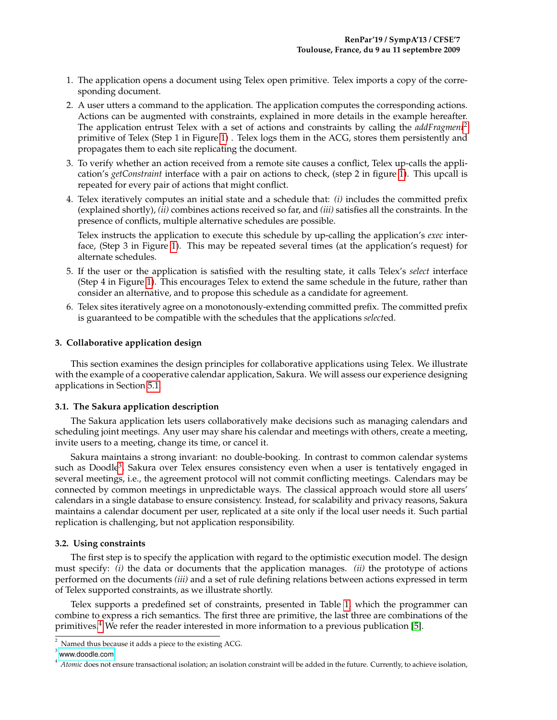- 1. The application opens a document using Telex open primitive. Telex imports a copy of the corresponding document.
- 2. A user utters a command to the application. The application computes the corresponding actions. Actions can be augmented with constraints, explained in more details in the example hereafter. The application entrust Telex with a set of actions and constraints by calling the *addFragment*[2](#page-3-1) primitive of Telex (Step 1 in Figure [1\)](#page-2-0) . Telex logs them in the ACG, stores them persistently and propagates them to each site replicating the document.
- 3. To verify whether an action received from a remote site causes a conflict, Telex up-calls the application's *getConstraint* interface with a pair on actions to check, (step 2 in figure [1\)](#page-2-0). This upcall is repeated for every pair of actions that might conflict.
- 4. Telex iteratively computes an initial state and a schedule that: *(i)* includes the committed prefix (explained shortly), *(ii)* combines actions received so far, and *(iii)* satisfies all the constraints. In the presence of conflicts, multiple alternative schedules are possible.

Telex instructs the application to execute this schedule by up-calling the application's *exec* interface, (Step 3 in Figure [1\)](#page-2-0). This may be repeated several times (at the application's request) for alternate schedules.

- 5. If the user or the application is satisfied with the resulting state, it calls Telex's *select* interface (Step 4 in Figure [1\)](#page-2-0). This encourages Telex to extend the same schedule in the future, rather than consider an alternative, and to propose this schedule as a candidate for agreement.
- 6. Telex sites iteratively agree on a monotonously-extending committed prefix. The committed prefix is guaranteed to be compatible with the schedules that the applications *select*ed.

# <span id="page-3-0"></span>**3. Collaborative application design**

This section examines the design principles for collaborative applications using Telex. We illustrate with the example of a cooperative calendar application, Sakura. We will assess our experience designing applications in Section [5.1.](#page-7-1)

#### **3.1. The Sakura application description**

The Sakura application lets users collaboratively make decisions such as managing calendars and scheduling joint meetings. Any user may share his calendar and meetings with others, create a meeting, invite users to a meeting, change its time, or cancel it.

Sakura maintains a strong invariant: no double-booking. In contrast to common calendar systems such as Doodle<sup>[3](#page-3-2)</sup>, Sakura over Telex ensures consistency even when a user is tentatively engaged in several meetings, i.e., the agreement protocol will not commit conflicting meetings. Calendars may be connected by common meetings in unpredictable ways. The classical approach would store all users' calendars in a single database to ensure consistency. Instead, for scalability and privacy reasons, Sakura maintains a calendar document per user, replicated at a site only if the local user needs it. Such partial replication is challenging, but not application responsibility.

#### **3.2. Using constraints**

The first step is to specify the application with regard to the optimistic execution model. The design must specify: *(i)* the data or documents that the application manages. *(ii)* the prototype of actions performed on the documents *(iii)* and a set of rule defining relations between actions expressed in term of Telex supported constraints, as we illustrate shortly.

Telex supports a predefined set of constraints, presented in Table [1,](#page-4-0) which the programmer can combine to express a rich semantics. The first three are primitive, the last three are combinations of the primitives.[4](#page-3-3) We refer the reader interested in more information to a previous publication [\[5\]](#page-10-1).

<span id="page-3-1"></span> $2$  Named thus because it adds a piece to the existing ACG.

<span id="page-3-2"></span> $3$  <www.doodle.com>

<span id="page-3-3"></span><sup>&</sup>lt;sup>4</sup> Atomic does not ensure transactional isolation; an isolation constraint will be added in the future. Currently, to achieve isolation,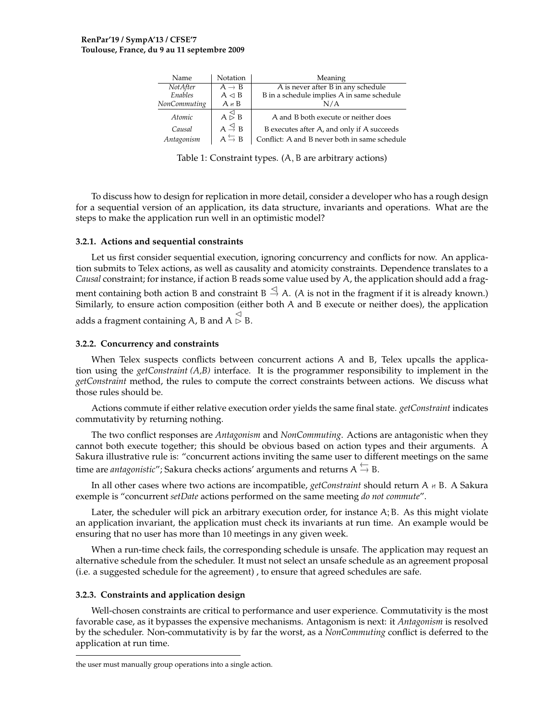| Name         | <b>Notation</b>                               | Meaning                                       |
|--------------|-----------------------------------------------|-----------------------------------------------|
| NotAfter     | $A \rightarrow B$                             | A is never after B in any schedule            |
| Enables      | $A \triangleleft B$                           | B in a schedule implies A in same schedule    |
| NonCommuting | $A \nmid B$                                   | N/A                                           |
| Atomic       | $A \overset{\triangleleft}{\triangleright} B$ | A and B both execute or neither does          |
| Causal       | $A \stackrel{\triangleleft}{\rightarrow} B$   | B executes after A, and only if A succeeds    |
| Antagonism   | $A \nightharpoonup B$                         | Conflict: A and B never both in same schedule |

<span id="page-4-0"></span>Table 1: Constraint types. (A, B are arbitrary actions)

To discuss how to design for replication in more detail, consider a developer who has a rough design for a sequential version of an application, its data structure, invariants and operations. What are the steps to make the application run well in an optimistic model?

# **3.2.1. Actions and sequential constraints**

Let us first consider sequential execution, ignoring concurrency and conflicts for now. An application submits to Telex actions, as well as causality and atomicity constraints. Dependence translates to a *Causal* constraint; for instance, if action B reads some value used by A, the application should add a fragment containing both action B and constraint  $B \stackrel{\triangle}{\to} A$ . (A is not in the fragment if it is already known.) Similarly, to ensure action composition (either both A and B execute or neither does), the application adds a fragment containing A, B and A ⊳ ⊲ B.

# **3.2.2. Concurrency and constraints**

When Telex suspects conflicts between concurrent actions A and B, Telex upcalls the application using the *getConstraint (A,B)* interface. It is the programmer responsibility to implement in the *getConstraint* method, the rules to compute the correct constraints between actions. We discuss what those rules should be.

Actions commute if either relative execution order yields the same final state. *getConstraint* indicates commutativity by returning nothing.

The two conflict responses are *Antagonism* and *NonCommuting*. Actions are antagonistic when they cannot both execute together; this should be obvious based on action types and their arguments. A Sakura illustrative rule is: "concurrent actions inviting the same user to different meetings on the same time are *antagonistic*"; Sakura checks actions' arguments and returns  $A \stackrel{\leftarrow}{\rightarrow} B$ .

In all other cases where two actions are incompatible, *getConstraint* should return A  $\mu$  B. A Sakura exemple is "concurrent *setDate* actions performed on the same meeting *do not commute*".

Later, the scheduler will pick an arbitrary execution order, for instance A; B. As this might violate an application invariant, the application must check its invariants at run time. An example would be ensuring that no user has more than 10 meetings in any given week.

When a run-time check fails, the corresponding schedule is unsafe. The application may request an alternative schedule from the scheduler. It must not select an unsafe schedule as an agreement proposal (i.e. a suggested schedule for the agreement) , to ensure that agreed schedules are safe.

# **3.2.3. Constraints and application design**

Well-chosen constraints are critical to performance and user experience. Commutativity is the most favorable case, as it bypasses the expensive mechanisms. Antagonism is next: it *Antagonism* is resolved by the scheduler. Non-commutativity is by far the worst, as a *NonCommuting* conflict is deferred to the application at run time.

the user must manually group operations into a single action.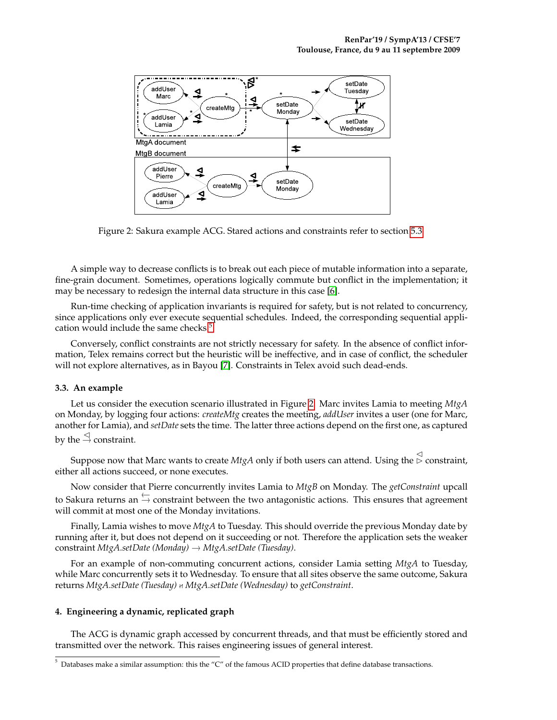

<span id="page-5-2"></span>Figure 2: Sakura example ACG. Stared actions and constraints refer to section [5.3](#page-9-0)

A simple way to decrease conflicts is to break out each piece of mutable information into a separate, fine-grain document. Sometimes, operations logically commute but conflict in the implementation; it may be necessary to redesign the internal data structure in this case [\[6\]](#page-10-2).

Run-time checking of application invariants is required for safety, but is not related to concurrency, since applications only ever execute sequential schedules. Indeed, the corresponding sequential appli-cation would include the same checks.<sup>[5](#page-5-1)</sup>

Conversely, conflict constraints are not strictly necessary for safety. In the absence of conflict information, Telex remains correct but the heuristic will be ineffective, and in case of conflict, the scheduler will not explore alternatives, as in Bayou [\[7\]](#page-10-3). Constraints in Telex avoid such dead-ends.

#### <span id="page-5-3"></span>**3.3. An example**

Let us consider the execution scenario illustrated in Figure [2.](#page-5-2) Marc invites Lamia to meeting *MtgA* on Monday, by logging four actions: *createMtg* creates the meeting, *addUser* invites a user (one for Marc, another for Lamia), and *setDate* sets the time. The latter three actions depend on the first one, as captured by the  $\stackrel{\triangle}{\rightarrow}$  constraint.

Suppose now that Marc wants to create *MtgA* only if both users can attend. Using the ⊳ ⊲ constraint, either all actions succeed, or none executes.

Now consider that Pierre concurrently invites Lamia to *MtgB* on Monday. The *getConstraint* upcall to Sakura returns an  $\stackrel{\leftarrow}{\rightarrow}$  constraint between the two antagonistic actions. This ensures that agreement will commit at most one of the Monday invitations.

Finally, Lamia wishes to move *MtgA* to Tuesday. This should override the previous Monday date by running after it, but does not depend on it succeeding or not. Therefore the application sets the weaker constraint *MtgA.setDate (Monday)* → *MtgA.setDate (Tuesday)*.

For an example of non-commuting concurrent actions, consider Lamia setting *MtgA* to Tuesday, while Marc concurrently sets it to Wednesday. To ensure that all sites observe the same outcome, Sakura returns *MtgA.setDate (Tuesday)* / *MtgA.setDate (Wednesday)* to *getConstraint*.

# <span id="page-5-0"></span>**4. Engineering a dynamic, replicated graph**

The ACG is dynamic graph accessed by concurrent threads, and that must be efficiently stored and transmitted over the network. This raises engineering issues of general interest.

<span id="page-5-1"></span> $<sup>5</sup>$  Databases make a similar assumption: this the "C" of the famous ACID properties that define database transactions.</sup>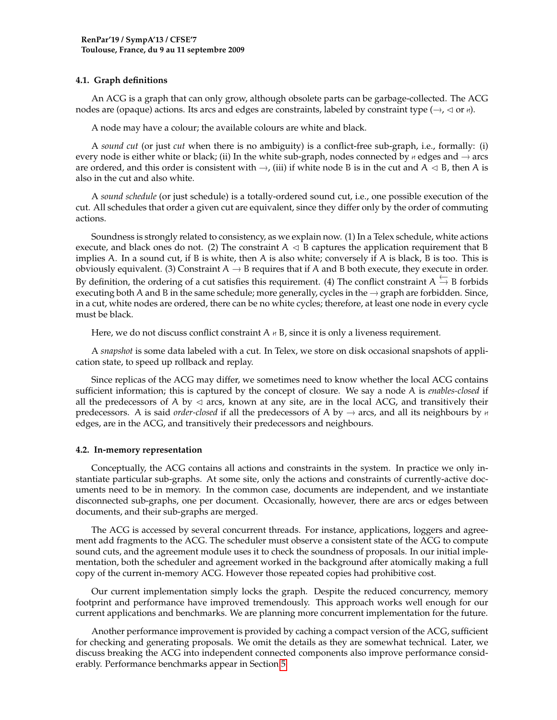# **4.1. Graph definitions**

An ACG is a graph that can only grow, although obsolete parts can be garbage-collected. The ACG nodes are (opaque) actions. Its arcs and edges are constraints, labeled by constraint type ( $\rightarrow$ ,  $\triangle$  or  $\kappa$ ).

A node may have a colour; the available colours are white and black.

A *sound cut* (or just *cut* when there is no ambiguity) is a conflict-free sub-graph, i.e., formally: (i) every node is either white or black; (ii) In the white sub-graph, nodes connected by  $*$  edges and  $\rightarrow$  arcs are ordered, and this order is consistent with  $\rightarrow$ , (iii) if white node B is in the cut and A  $\lhd$  B, then A is also in the cut and also white.

A *sound schedule* (or just schedule) is a totally-ordered sound cut, i.e., one possible execution of the cut. All schedules that order a given cut are equivalent, since they differ only by the order of commuting actions.

Soundness is strongly related to consistency, as we explain now. (1) In a Telex schedule, white actions execute, and black ones do not. (2) The constraint  $A \triangleleft B$  captures the application requirement that B implies A. In a sound cut, if B is white, then A is also white; conversely if A is black, B is too. This is obviously equivalent. (3) Constraint  $A \rightarrow B$  requires that if A and B both execute, they execute in order. By definition, the ordering of a cut satisfies this requirement. (4) The conflict constraint  $A \stackrel{\leftarrow}{\rightarrow} B$  forbids executing both A and B in the same schedule; more generally, cycles in the  $\rightarrow$  graph are forbidden. Since, in a cut, white nodes are ordered, there can be no white cycles; therefore, at least one node in every cycle must be black.

Here, we do not discuss conflict constraint  $A \nmid B$ , since it is only a liveness requirement.

A *snapshot* is some data labeled with a cut. In Telex, we store on disk occasional snapshots of application state, to speed up rollback and replay.

Since replicas of the ACG may differ, we sometimes need to know whether the local ACG contains sufficient information; this is captured by the concept of closure. We say a node A is *enables-closed* if all the predecessors of A by  $\triangleleft$  arcs, known at any site, are in the local ACG, and transitively their predecessors. A is said *order-closed* if all the predecessors of A by  $\rightarrow$  arcs, and all its neighbours by  $\#$ edges, are in the ACG, and transitively their predecessors and neighbours.

# **4.2. In-memory representation**

Conceptually, the ACG contains all actions and constraints in the system. In practice we only instantiate particular sub-graphs. At some site, only the actions and constraints of currently-active documents need to be in memory. In the common case, documents are independent, and we instantiate disconnected sub-graphs, one per document. Occasionally, however, there are arcs or edges between documents, and their sub-graphs are merged.

The ACG is accessed by several concurrent threads. For instance, applications, loggers and agreement add fragments to the ACG. The scheduler must observe a consistent state of the ACG to compute sound cuts, and the agreement module uses it to check the soundness of proposals. In our initial implementation, both the scheduler and agreement worked in the background after atomically making a full copy of the current in-memory ACG. However those repeated copies had prohibitive cost.

Our current implementation simply locks the graph. Despite the reduced concurrency, memory footprint and performance have improved tremendously. This approach works well enough for our current applications and benchmarks. We are planning more concurrent implementation for the future.

Another performance improvement is provided by caching a compact version of the ACG, sufficient for checking and generating proposals. We omit the details as they are somewhat technical. Later, we discuss breaking the ACG into independent connected components also improve performance considerably. Performance benchmarks appear in Section [5.](#page-7-0)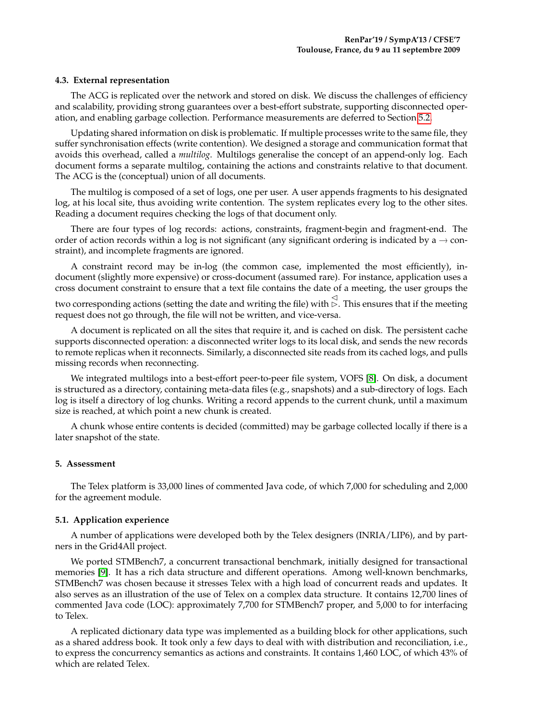#### **4.3. External representation**

The ACG is replicated over the network and stored on disk. We discuss the challenges of efficiency and scalability, providing strong guarantees over a best-effort substrate, supporting disconnected operation, and enabling garbage collection. Performance measurements are deferred to Section [5.2.](#page-8-0)

Updating shared information on disk is problematic. If multiple processes write to the same file, they suffer synchronisation effects (write contention). We designed a storage and communication format that avoids this overhead, called a *multilog*. Multilogs generalise the concept of an append-only log. Each document forms a separate multilog, containing the actions and constraints relative to that document. The ACG is the (conceptual) union of all documents.

The multilog is composed of a set of logs, one per user. A user appends fragments to his designated log, at his local site, thus avoiding write contention. The system replicates every log to the other sites. Reading a document requires checking the logs of that document only.

There are four types of log records: actions, constraints, fragment-begin and fragment-end. The order of action records within a log is not significant (any significant ordering is indicated by a  $\rightarrow$  constraint), and incomplete fragments are ignored.

A constraint record may be in-log (the common case, implemented the most efficiently), indocument (slightly more expensive) or cross-document (assumed rare). For instance, application uses a cross document constraint to ensure that a text file contains the date of a meeting, the user groups the

two corresponding actions (setting the date and writing the file) with ⊳ ⊲. This ensures that if the meeting request does not go through, the file will not be written, and vice-versa.

A document is replicated on all the sites that require it, and is cached on disk. The persistent cache supports disconnected operation: a disconnected writer logs to its local disk, and sends the new records to remote replicas when it reconnects. Similarly, a disconnected site reads from its cached logs, and pulls missing records when reconnecting.

We integrated multilogs into a best-effort peer-to-peer file system, VOFS [\[8\]](#page-10-4). On disk, a document is structured as a directory, containing meta-data files (e.g., snapshots) and a sub-directory of logs. Each log is itself a directory of log chunks. Writing a record appends to the current chunk, until a maximum size is reached, at which point a new chunk is created.

A chunk whose entire contents is decided (committed) may be garbage collected locally if there is a later snapshot of the state.

# <span id="page-7-0"></span>**5. Assessment**

The Telex platform is 33,000 lines of commented Java code, of which 7,000 for scheduling and 2,000 for the agreement module.

# <span id="page-7-1"></span>**5.1. Application experience**

A number of applications were developed both by the Telex designers (INRIA/LIP6), and by partners in the Grid4All project.

We ported STMBench7, a concurrent transactional benchmark, initially designed for transactional memories [\[9\]](#page-10-5). It has a rich data structure and different operations. Among well-known benchmarks, STMBench7 was chosen because it stresses Telex with a high load of concurrent reads and updates. It also serves as an illustration of the use of Telex on a complex data structure. It contains 12,700 lines of commented Java code (LOC): approximately 7,700 for STMBench7 proper, and 5,000 to for interfacing to Telex.

A replicated dictionary data type was implemented as a building block for other applications, such as a shared address book. It took only a few days to deal with with distribution and reconciliation, i.e., to express the concurrency semantics as actions and constraints. It contains 1,460 LOC, of which 43% of which are related Telex.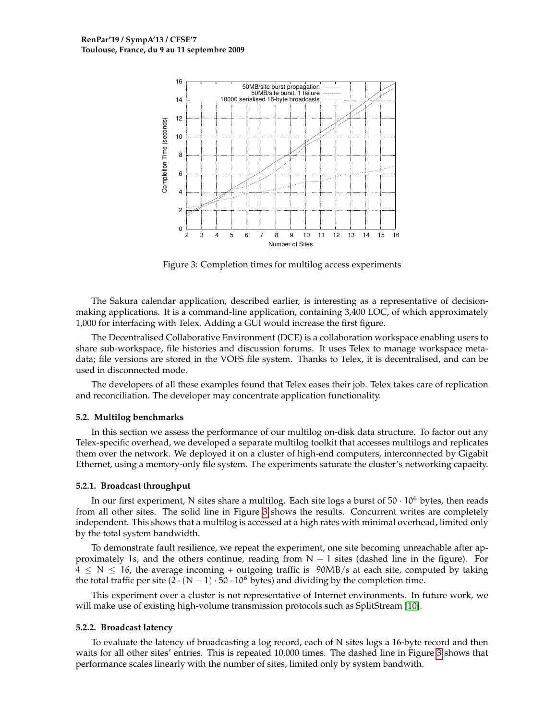

<span id="page-8-1"></span>Figure 3: Completion times for multilog access experiments

The Sakura calendar application, described earlier, is interesting as a representative of decisionmaking applications. It is a command-line application, containing 3,400 LOC, of which approximately 1,000 for interfacing with Telex. Adding a GUI would increase the first figure.

The Decentralised Collaborative Environment (DCE) is a collaboration workspace enabling users to share sub-workspace, file histories and discussion forums. It uses Telex to manage workspace metadata; file versions are stored in the VOFS file system. Thanks to Telex, it is decentralised, and can be used in disconnected mode.

The developers of all these examples found that Telex eases their job. Telex takes care of replication and reconciliation. The developer may concentrate application functionality.

#### <span id="page-8-0"></span>**5.2. Multilog benchmarks**

In this section we assess the performance of our multilog on-disk data structure. To factor out any Telex-specific overhead, we developed a separate multilog toolkit that accesses multilogs and replicates them over the network. We deployed it on a cluster of high-end computers, interconnected by Gigabit Ethernet, using a memory-only file system. The experiments saturate the cluster's networking capacity.

#### **5.2.1. Broadcast throughput**

In our first experiment, N sites share a multilog. Each site logs a burst of  $50 \cdot 10^6$  bytes, then reads from all other sites. The solid line in Figure [3](#page-8-1) shows the results. Concurrent writes are completely independent. This shows that a multilog is accessed at a high rates with minimal overhead, limited only by the total system bandwidth.

To demonstrate fault resilience, we repeat the experiment, one site becoming unreachable after approximately 1s, and the others continue, reading from  $N - 1$  sites (dashed line in the figure). For  $4 \leq N \leq 16$ , the average incoming + outgoing traffic is 90MB/s at each site, computed by taking the total traffic per site  $(2 \cdot (N-1) \cdot 50 \cdot 10^6$  bytes) and dividing by the completion time.

This experiment over a cluster is not representative of Internet environments. In future work, we will make use of existing high-volume transmission protocols such as SplitStream [\[10\]](#page-10-6).

#### **5.2.2. Broadcast latency**

To evaluate the latency of broadcasting a log record, each of N sites logs a 16-byte record and then waits for all other sites' entries. This is repeated 10,000 times. The dashed line in Figure [3](#page-8-1) shows that performance scales linearly with the number of sites, limited only by system bandwith.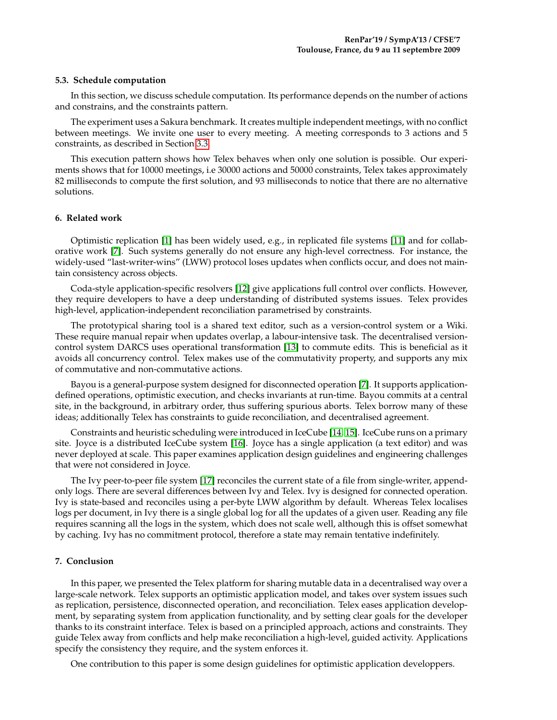#### <span id="page-9-0"></span>**5.3. Schedule computation**

In this section, we discuss schedule computation. Its performance depends on the number of actions and constrains, and the constraints pattern.

The experiment uses a Sakura benchmark. It creates multiple independent meetings, with no conflict between meetings. We invite one user to every meeting. A meeting corresponds to 3 actions and 5 constraints, as described in Section [3.3.](#page-5-3)

This execution pattern shows how Telex behaves when only one solution is possible. Our experiments shows that for 10000 meetings, i.e 30000 actions and 50000 constraints, Telex takes approximately 82 milliseconds to compute the first solution, and 93 milliseconds to notice that there are no alternative solutions.

#### **6. Related work**

Optimistic replication [\[1\]](#page-10-0) has been widely used, e.g., in replicated file systems [\[11\]](#page-10-7) and for collaborative work [\[7\]](#page-10-3). Such systems generally do not ensure any high-level correctness. For instance, the widely-used "last-writer-wins" (LWW) protocol loses updates when conflicts occur, and does not maintain consistency across objects.

Coda-style application-specific resolvers [\[12\]](#page-10-8) give applications full control over conflicts. However, they require developers to have a deep understanding of distributed systems issues. Telex provides high-level, application-independent reconciliation parametrised by constraints.

The prototypical sharing tool is a shared text editor, such as a version-control system or a Wiki. These require manual repair when updates overlap, a labour-intensive task. The decentralised versioncontrol system DARCS uses operational transformation [\[13\]](#page-10-9) to commute edits. This is beneficial as it avoids all concurrency control. Telex makes use of the commutativity property, and supports any mix of commutative and non-commutative actions.

Bayou is a general-purpose system designed for disconnected operation [\[7\]](#page-10-3). It supports applicationdefined operations, optimistic execution, and checks invariants at run-time. Bayou commits at a central site, in the background, in arbitrary order, thus suffering spurious aborts. Telex borrow many of these ideas; additionally Telex has constraints to guide reconciliation, and decentralised agreement.

Constraints and heuristic scheduling were introduced in IceCube [\[14,](#page-10-10) [15\]](#page-11-0). IceCube runs on a primary site. Joyce is a distributed IceCube system [\[16\]](#page-11-1). Joyce has a single application (a text editor) and was never deployed at scale. This paper examines application design guidelines and engineering challenges that were not considered in Joyce.

The Ivy peer-to-peer file system [\[17\]](#page-11-2) reconciles the current state of a file from single-writer, appendonly logs. There are several differences between Ivy and Telex. Ivy is designed for connected operation. Ivy is state-based and reconciles using a per-byte LWW algorithm by default. Whereas Telex localises logs per document, in Ivy there is a single global log for all the updates of a given user. Reading any file requires scanning all the logs in the system, which does not scale well, although this is offset somewhat by caching. Ivy has no commitment protocol, therefore a state may remain tentative indefinitely.

# **7. Conclusion**

In this paper, we presented the Telex platform for sharing mutable data in a decentralised way over a large-scale network. Telex supports an optimistic application model, and takes over system issues such as replication, persistence, disconnected operation, and reconciliation. Telex eases application development, by separating system from application functionality, and by setting clear goals for the developer thanks to its constraint interface. Telex is based on a principled approach, actions and constraints. They guide Telex away from conflicts and help make reconciliation a high-level, guided activity. Applications specify the consistency they require, and the system enforces it.

One contribution to this paper is some design guidelines for optimistic application developpers.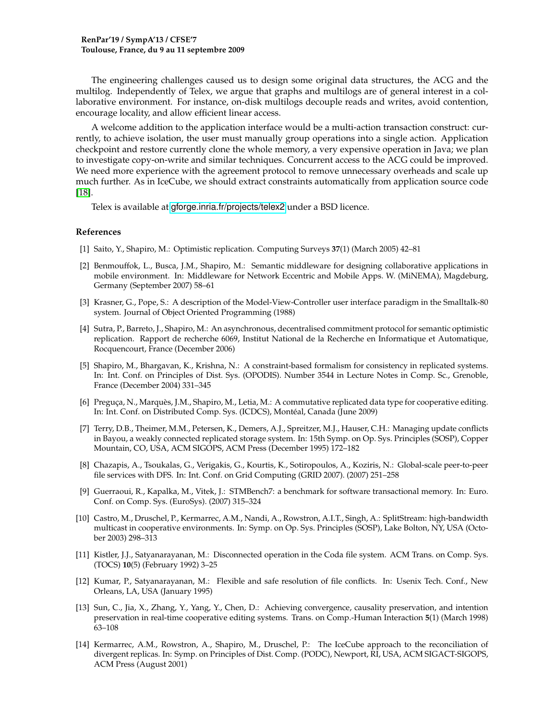The engineering challenges caused us to design some original data structures, the ACG and the multilog. Independently of Telex, we argue that graphs and multilogs are of general interest in a collaborative environment. For instance, on-disk multilogs decouple reads and writes, avoid contention, encourage locality, and allow efficient linear access.

A welcome addition to the application interface would be a multi-action transaction construct: currently, to achieve isolation, the user must manually group operations into a single action. Application checkpoint and restore currently clone the whole memory, a very expensive operation in Java; we plan to investigate copy-on-write and similar techniques. Concurrent access to the ACG could be improved. We need more experience with the agreement protocol to remove unnecessary overheads and scale up much further. As in IceCube, we should extract constraints automatically from application source code [\[18\]](#page-11-3).

Telex is available at <gforge.inria.fr/projects/telex2> under a BSD licence.

#### **References**

- <span id="page-10-0"></span>[1] Saito, Y., Shapiro, M.: Optimistic replication. Computing Surveys **37**(1) (March 2005) 42–81
- [2] Benmouffok, L., Busca, J.M., Shapiro, M.: Semantic middleware for designing collaborative applications in mobile environment. In: Middleware for Network Eccentric and Mobile Apps. W. (MiNEMA), Magdeburg, Germany (September 2007) 58–61
- [3] Krasner, G., Pope, S.: A description of the Model-View-Controller user interface paradigm in the Smalltalk-80 system. Journal of Object Oriented Programming (1988)
- [4] Sutra, P., Barreto, J., Shapiro, M.: An asynchronous, decentralised commitment protocol for semantic optimistic replication. Rapport de recherche 6069, Institut National de la Recherche en Informatique et Automatique, Rocquencourt, France (December 2006)
- <span id="page-10-1"></span>[5] Shapiro, M., Bhargavan, K., Krishna, N.: A constraint-based formalism for consistency in replicated systems. In: Int. Conf. on Principles of Dist. Sys. (OPODIS). Number 3544 in Lecture Notes in Comp. Sc., Grenoble, France (December 2004) 331–345
- <span id="page-10-2"></span>[6] Preguça, N., Marquès, J.M., Shapiro, M., Letia, M.: A commutative replicated data type for cooperative editing. In: Int. Conf. on Distributed Comp. Sys. (ICDCS), Montéal, Canada (June 2009)
- <span id="page-10-3"></span>[7] Terry, D.B., Theimer, M.M., Petersen, K., Demers, A.J., Spreitzer, M.J., Hauser, C.H.: Managing update conflicts in Bayou, a weakly connected replicated storage system. In: 15th Symp. on Op. Sys. Principles (SOSP), Copper Mountain, CO, USA, ACM SIGOPS, ACM Press (December 1995) 172–182
- <span id="page-10-4"></span>[8] Chazapis, A., Tsoukalas, G., Verigakis, G., Kourtis, K., Sotiropoulos, A., Koziris, N.: Global-scale peer-to-peer file services with DFS. In: Int. Conf. on Grid Computing (GRID 2007). (2007) 251–258
- <span id="page-10-5"></span>[9] Guerraoui, R., Kapalka, M., Vitek, J.: STMBench7: a benchmark for software transactional memory. In: Euro. Conf. on Comp. Sys. (EuroSys). (2007) 315–324
- <span id="page-10-6"></span>[10] Castro, M., Druschel, P., Kermarrec, A.M., Nandi, A., Rowstron, A.I.T., Singh, A.: SplitStream: high-bandwidth multicast in cooperative environments. In: Symp. on Op. Sys. Principles (SOSP), Lake Bolton, NY, USA (October 2003) 298–313
- <span id="page-10-7"></span>[11] Kistler, J.J., Satyanarayanan, M.: Disconnected operation in the Coda file system. ACM Trans. on Comp. Sys. (TOCS) **10**(5) (February 1992) 3–25
- <span id="page-10-8"></span>[12] Kumar, P., Satyanarayanan, M.: Flexible and safe resolution of file conflicts. In: Usenix Tech. Conf., New Orleans, LA, USA (January 1995)
- <span id="page-10-9"></span>[13] Sun, C., Jia, X., Zhang, Y., Yang, Y., Chen, D.: Achieving convergence, causality preservation, and intention preservation in real-time cooperative editing systems. Trans. on Comp.-Human Interaction **5**(1) (March 1998) 63–108
- <span id="page-10-10"></span>[14] Kermarrec, A.M., Rowstron, A., Shapiro, M., Druschel, P.: The IceCube approach to the reconciliation of divergent replicas. In: Symp. on Principles of Dist. Comp. (PODC), Newport, RI, USA, ACM SIGACT-SIGOPS, ACM Press (August 2001)